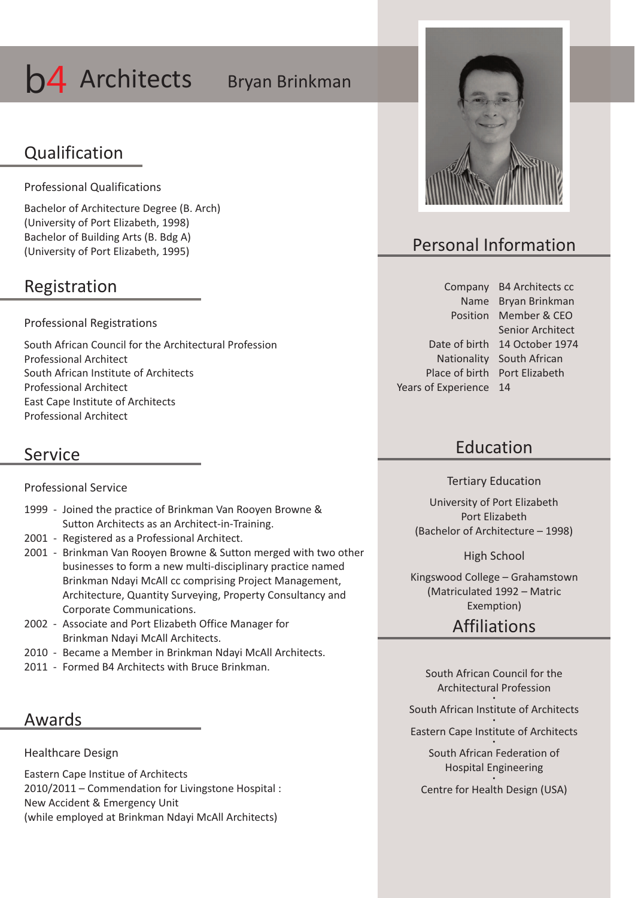# **b4** Architects Bryan Brinkman

### Qualification

Professional Qualifications

Bachelor of Architecture Degree (B. Arch) (University of Port Elizabeth, 1998) Bachelor of Building Arts (B. Bdg A) (University of Port Elizabeth, 1995)

### Registration

Professional Registrations

South African Council for the Architectural Profession Professional Architect South African Institute of Architects Professional Architect East Cape Institute of Architects Professional Architect

### Service

Professional Service

- 1999 Joined the practice of Brinkman Van Rooyen Browne & Sutton Architects as an Architect-in-Training.
- 2001 Registered as a Professional Architect.
- 2001 Brinkman Van Rooyen Browne & Sutton merged with two other businesses to form a new multi-disciplinary practice named Brinkman Ndayi McAll cc comprising Project Management, Architecture, Quantity Surveying, Property Consultancy and Corporate Communications.
- 2002 Associate and Port Elizabeth Office Manager for Brinkman Ndayi McAll Architects.
- 2010 Became a Member in Brinkman Ndayi McAll Architects.
- 2011 Formed B4 Architects with Bruce Brinkman.

### Awards

Healthcare Design

Eastern Cape Institue of Architects 2010/2011 – Commendation for Livingstone Hospital : New Accident & Emergency Unit (while employed at Brinkman Ndayi McAll Architects)



## Personal Information

Company B4 Architects cc Name Bryan Brinkman Position Member & CEO Date of birth 14 October 1974 Nationality South African Place of birth Port Elizabeth Years of Experience 14 Senior Architect

### Education

Tertiary Education

University of Port Elizabeth Port Elizabeth (Bachelor of Architecture – 1998)

High School

Kingswood College – Grahamstown (Matriculated 1992 – Matric Exemption)

### Affiliations

South African Council for the Architectural Profession  $\bullet$ 

South African Institute of Architects

 $\bullet$ Eastern Cape Institute of Architects  $\bullet$ 

> South African Federation of Hospital Engineering  $\bullet$

Centre for Health Design (USA)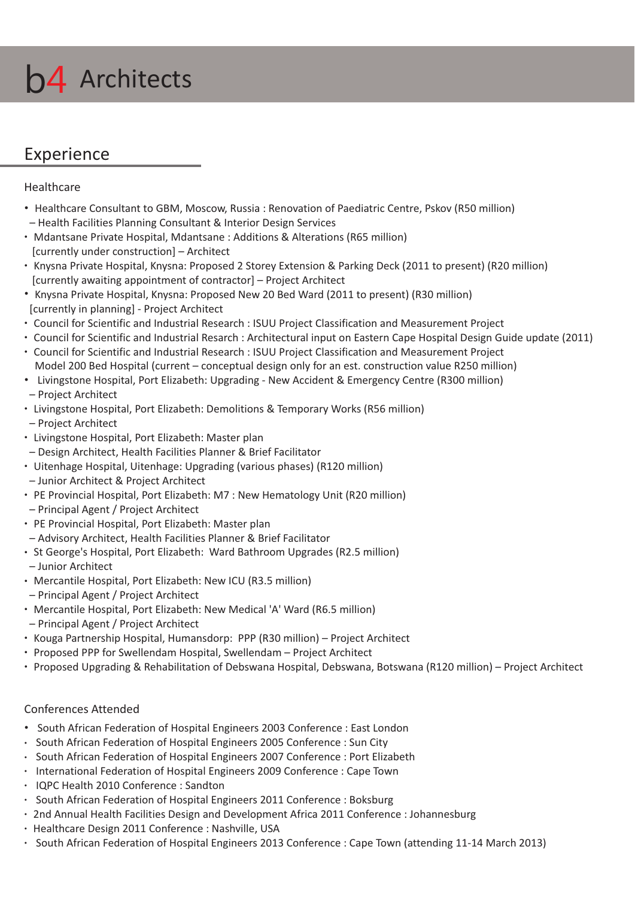

### Experience

#### Healthcare

- Healthcare Consultant to GBM, Moscow, Russia : Renovation of Paediatric Centre, Pskov (R50 million) – Health Facilities Planning Consultant & Interior Design Services
- Mdantsane Private Hospital, Mdantsane : Additions & Alterations (R65 million) [currently under construction] – Architect
- Knysna Private Hospital, Knysna: Proposed 2 Storey Extension & Parking Deck (2011 to present) (R20 million) [currently awaiting appointment of contractor] – Project Architect
- Knysna Private Hospital, Knysna: Proposed New 20 Bed Ward (2011 to present) (R30 million) [currently in planning] - Project Architect
- Council for Scientific and Industrial Research : ISUU Project Classification and Measurement Project
- Council for Scientific and Industrial Resarch : Architectural input on Eastern Cape Hospital Design Guide update (2011)
- Council for Scientific and Industrial Research : ISUU Project Classification and Measurement Project Model 200 Bed Hospital (current – conceptual design only for an est. construction value R250 million)
- Livingstone Hospital, Port Elizabeth: Upgrading New Accident & Emergency Centre (R300 million) – Project Architect
- Livingstone Hospital, Port Elizabeth: Demolitions & Temporary Works (R56 million)
- Project Architect
- Livingstone Hospital, Port Elizabeth: Master plan
- Design Architect, Health Facilities Planner & Brief Facilitator
- Uitenhage Hospital, Uitenhage: Upgrading (various phases) (R120 million)
- Junior Architect & Project Architect
- PE Provincial Hospital, Port Elizabeth: M7 : New Hematology Unit (R20 million)
- Principal Agent / Project Architect
- PE Provincial Hospital, Port Elizabeth: Master plan
- Advisory Architect, Health Facilities Planner & Brief Facilitator
- St George's Hospital, Port Elizabeth: Ward Bathroom Upgrades (R2.5 million)
- Junior Architect
- Mercantile Hospital, Port Elizabeth: New ICU (R3.5 million)
- Principal Agent / Project Architect
- Mercantile Hospital, Port Elizabeth: New Medical 'A' Ward (R6.5 million)
- Principal Agent / Project Architect
- Kouga Partnership Hospital, Humansdorp: PPP (R30 million) Project Architect
- Proposed PPP for Swellendam Hospital, Swellendam Project Architect
- Proposed Upgrading & Rehabilitation of Debswana Hospital, Debswana, Botswana (R120 million) Project Architect

### Conferences Attended

- \* South African Federation of Hospital Engineers 2003 Conference : East London
- South African Federation of Hospital Engineers 2005 Conference : Sun City
- South African Federation of Hospital Engineers 2007 Conference : Port Elizabeth
- $\cdot$  International Federation of Hospital Engineers 2009 Conference : Cape Town
- IQPC Health 2010 Conference : Sandton
- South African Federation of Hospital Engineers 2011 Conference : Boksburg
- 2nd Annual Health Facilities Design and Development Africa 2011 Conference : Johannesburg
- Healthcare Design 2011 Conference : Nashville, USA
- South African Federation of Hospital Engineers 2013 Conference : Cape Town (attending 11-14 March 2013)